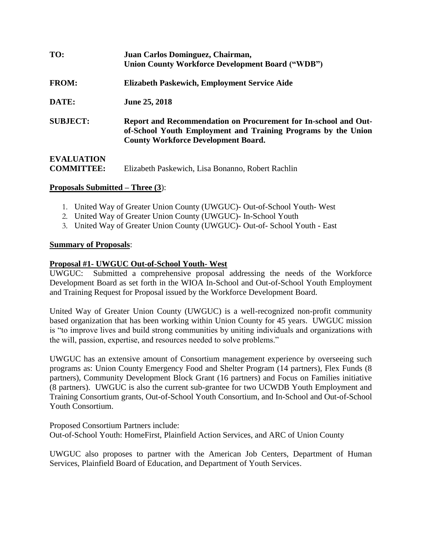| TO:               | Juan Carlos Dominguez, Chairman,<br><b>Union County Workforce Development Board ("WDB")</b>                                                                                    |
|-------------------|--------------------------------------------------------------------------------------------------------------------------------------------------------------------------------|
| <b>FROM:</b>      | Elizabeth Paskewich, Employment Service Aide                                                                                                                                   |
| DATE:             | <b>June 25, 2018</b>                                                                                                                                                           |
| <b>SUBJECT:</b>   | Report and Recommendation on Procurement for In-school and Out-<br>of-School Youth Employment and Training Programs by the Union<br><b>County Workforce Development Board.</b> |
| <b>EVALUATION</b> |                                                                                                                                                                                |

### **COMMITTEE:** Elizabeth Paskewich, Lisa Bonanno, Robert Rachlin

### **Proposals Submitted – Three (3**):

- 1. United Way of Greater Union County (UWGUC)- Out-of-School Youth- West
- 2. United Way of Greater Union County (UWGUC)- In-School Youth
- 3. United Way of Greater Union County (UWGUC)- Out-of- School Youth East

### **Summary of Proposals**:

### **Proposal #1- UWGUC Out-of-School Youth- West**

UWGUC: Submitted a comprehensive proposal addressing the needs of the Workforce Development Board as set forth in the WIOA In-School and Out-of-School Youth Employment and Training Request for Proposal issued by the Workforce Development Board.

United Way of Greater Union County (UWGUC) is a well-recognized non-profit community based organization that has been working within Union County for 45 years. UWGUC mission is "to improve lives and build strong communities by uniting individuals and organizations with the will, passion, expertise, and resources needed to solve problems."

UWGUC has an extensive amount of Consortium management experience by overseeing such programs as: Union County Emergency Food and Shelter Program (14 partners), Flex Funds (8 partners), Community Development Block Grant (16 partners) and Focus on Families initiative (8 partners). UWGUC is also the current sub-grantee for two UCWDB Youth Employment and Training Consortium grants, Out-of-School Youth Consortium, and In-School and Out-of-School Youth Consortium.

Proposed Consortium Partners include: Out-of-School Youth: HomeFirst, Plainfield Action Services, and ARC of Union County

UWGUC also proposes to partner with the American Job Centers, Department of Human Services, Plainfield Board of Education, and Department of Youth Services.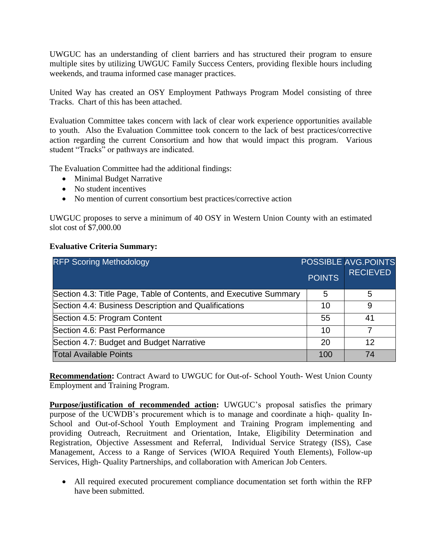UWGUC has an understanding of client barriers and has structured their program to ensure multiple sites by utilizing UWGUC Family Success Centers, providing flexible hours including weekends, and trauma informed case manager practices.

United Way has created an OSY Employment Pathways Program Model consisting of three Tracks. Chart of this has been attached.

Evaluation Committee takes concern with lack of clear work experience opportunities available to youth. Also the Evaluation Committee took concern to the lack of best practices/corrective action regarding the current Consortium and how that would impact this program. Various student "Tracks" or pathways are indicated.

The Evaluation Committee had the additional findings:

- Minimal Budget Narrative
- No student incentives
- No mention of current consortium best practices/corrective action

UWGUC proposes to serve a minimum of 40 OSY in Western Union County with an estimated slot cost of \$7,000.00

### **Evaluative Criteria Summary:**

| <b>RFP Scoring Methodology</b>                                    | <b>POINTS</b> | <b>POSSIBLE AVG.POINTS</b><br><b>RECIEVED</b> |
|-------------------------------------------------------------------|---------------|-----------------------------------------------|
| Section 4.3: Title Page, Table of Contents, and Executive Summary | 5             | 5                                             |
| Section 4.4: Business Description and Qualifications              | 10            | 9                                             |
| Section 4.5: Program Content                                      | 55            | 41                                            |
| Section 4.6: Past Performance                                     | 10            |                                               |
| Section 4.7: Budget and Budget Narrative                          | 20            | 12                                            |
| <b>Total Available Points</b>                                     | 100           | 74                                            |

**Recommendation:** Contract Award to UWGUC for Out-of- School Youth- West Union County Employment and Training Program.

**Purpose/justification of recommended action:** UWGUC's proposal satisfies the primary purpose of the UCWDB's procurement which is to manage and coordinate a hiqh- quality In-School and Out-of-School Youth Employment and Training Program implementing and providing Outreach, Recruitment and Orientation, Intake, Eligibility Determination and Registration, Objective Assessment and Referral, Individual Service Strategy (ISS), Case Management, Access to a Range of Services (WIOA Required Youth Elements), Follow-up Services, High- Quality Partnerships, and collaboration with American Job Centers.

 All required executed procurement compliance documentation set forth within the RFP have been submitted.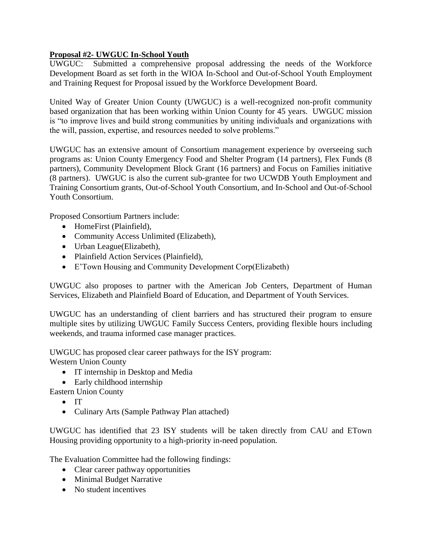### **Proposal #2- UWGUC In-School Youth**

UWGUC: Submitted a comprehensive proposal addressing the needs of the Workforce Development Board as set forth in the WIOA In-School and Out-of-School Youth Employment and Training Request for Proposal issued by the Workforce Development Board.

United Way of Greater Union County (UWGUC) is a well-recognized non-profit community based organization that has been working within Union County for 45 years. UWGUC mission is "to improve lives and build strong communities by uniting individuals and organizations with the will, passion, expertise, and resources needed to solve problems."

UWGUC has an extensive amount of Consortium management experience by overseeing such programs as: Union County Emergency Food and Shelter Program (14 partners), Flex Funds (8 partners), Community Development Block Grant (16 partners) and Focus on Families initiative (8 partners). UWGUC is also the current sub-grantee for two UCWDB Youth Employment and Training Consortium grants, Out-of-School Youth Consortium, and In-School and Out-of-School Youth Consortium.

Proposed Consortium Partners include:

- HomeFirst (Plainfield),
- Community Access Unlimited (Elizabeth),
- Urban League(Elizabeth),
- Plainfield Action Services (Plainfield),
- E'Town Housing and Community Development Corp(Elizabeth)

UWGUC also proposes to partner with the American Job Centers, Department of Human Services, Elizabeth and Plainfield Board of Education, and Department of Youth Services.

UWGUC has an understanding of client barriers and has structured their program to ensure multiple sites by utilizing UWGUC Family Success Centers, providing flexible hours including weekends, and trauma informed case manager practices.

UWGUC has proposed clear career pathways for the ISY program: Western Union County

- IT internship in Desktop and Media
- Early childhood internship

Eastern Union County

- $\bullet$  IT
- Culinary Arts (Sample Pathway Plan attached)

UWGUC has identified that 23 ISY students will be taken directly from CAU and ETown Housing providing opportunity to a high-priority in-need population.

The Evaluation Committee had the following findings:

- Clear career pathway opportunities
- Minimal Budget Narrative
- No student incentives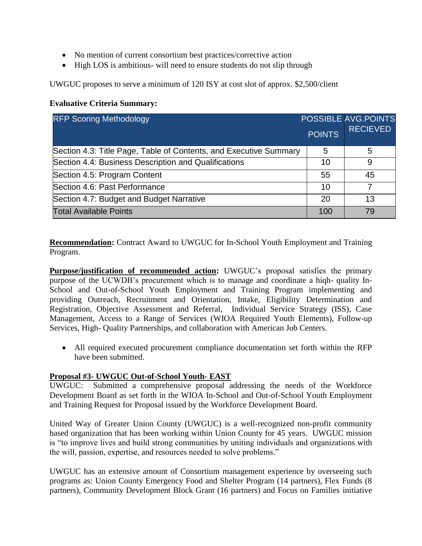- No mention of current consortium best practices/corrective action
- High LOS is ambitious- will need to ensure students do not slip through

UWGUC proposes to serve a minimum of 120 ISY at cost slot of approx. \$2,500/client

### **Evaluative Criteria Summary:**

| <b>RFP Scoring Methodology</b>                                    | <b>POINTS</b> | <b>POSSIBLE AVG.POINTS</b><br><b>RECIEVED</b> |
|-------------------------------------------------------------------|---------------|-----------------------------------------------|
| Section 4.3: Title Page, Table of Contents, and Executive Summary | 5             | 5                                             |
| Section 4.4: Business Description and Qualifications              | 10            | 9                                             |
| Section 4.5: Program Content                                      | 55            | 45                                            |
| Section 4.6: Past Performance                                     | 10            |                                               |
| Section 4.7: Budget and Budget Narrative                          | 20            | 13                                            |
| <b>Total Available Points</b>                                     | 100           | 79                                            |

**Recommendation:** Contract Award to UWGUC for In-School Youth Employment and Training Program.

**Purpose/justification of recommended action:** UWGUC's proposal satisfies the primary purpose of the UCWDB's procurement which is to manage and coordinate a hiqh- quality In-School and Out-of-School Youth Employment and Training Program implementing and providing Outreach, Recruitment and Orientation, Intake, Eligibility Determination and Registration, Objective Assessment and Referral, Individual Service Strategy (ISS), Case Management, Access to a Range of Services (WIOA Required Youth Elements), Follow-up Services, High- Quality Partnerships, and collaboration with American Job Centers.

 All required executed procurement compliance documentation set forth within the RFP have been submitted.

### **Proposal #3- UWGUC Out-of-School Youth- EAST**

UWGUC: Submitted a comprehensive proposal addressing the needs of the Workforce Development Board as set forth in the WIOA In-School and Out-of-School Youth Employment and Training Request for Proposal issued by the Workforce Development Board.

United Way of Greater Union County (UWGUC) is a well-recognized non-profit community based organization that has been working within Union County for 45 years. UWGUC mission is "to improve lives and build strong communities by uniting individuals and organizations with the will, passion, expertise, and resources needed to solve problems."

UWGUC has an extensive amount of Consortium management experience by overseeing such programs as: Union County Emergency Food and Shelter Program (14 partners), Flex Funds (8 partners), Community Development Block Grant (16 partners) and Focus on Families initiative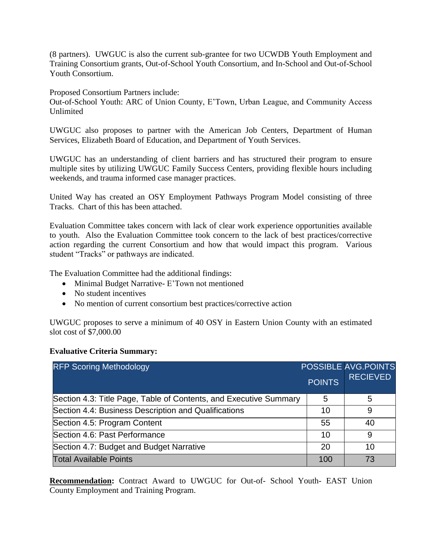(8 partners). UWGUC is also the current sub-grantee for two UCWDB Youth Employment and Training Consortium grants, Out-of-School Youth Consortium, and In-School and Out-of-School Youth Consortium.

Proposed Consortium Partners include:

Out-of-School Youth: ARC of Union County, E'Town, Urban League, and Community Access Unlimited

UWGUC also proposes to partner with the American Job Centers, Department of Human Services, Elizabeth Board of Education, and Department of Youth Services.

UWGUC has an understanding of client barriers and has structured their program to ensure multiple sites by utilizing UWGUC Family Success Centers, providing flexible hours including weekends, and trauma informed case manager practices.

United Way has created an OSY Employment Pathways Program Model consisting of three Tracks. Chart of this has been attached.

Evaluation Committee takes concern with lack of clear work experience opportunities available to youth. Also the Evaluation Committee took concern to the lack of best practices/corrective action regarding the current Consortium and how that would impact this program. Various student "Tracks" or pathways are indicated.

The Evaluation Committee had the additional findings:

- Minimal Budget Narrative- E'Town not mentioned
- No student incentives
- No mention of current consortium best practices/corrective action

UWGUC proposes to serve a minimum of 40 OSY in Eastern Union County with an estimated slot cost of \$7,000.00

### **Evaluative Criteria Summary:**

| <b>RFP Scoring Methodology</b>                                    | <b>POINTS</b> | <b>POSSIBLE AVG.POINTS</b><br><b>RECIEVED</b> |
|-------------------------------------------------------------------|---------------|-----------------------------------------------|
| Section 4.3: Title Page, Table of Contents, and Executive Summary | 5             | 5                                             |
| Section 4.4: Business Description and Qualifications              | 10            | 9                                             |
| Section 4.5: Program Content                                      | 55            | 40                                            |
| Section 4.6: Past Performance                                     | 10            | 9                                             |
| Section 4.7: Budget and Budget Narrative                          | 20            | 10                                            |
| <b>Total Available Points</b>                                     | 100           | 73                                            |

**Recommendation:** Contract Award to UWGUC for Out-of- School Youth- EAST Union County Employment and Training Program.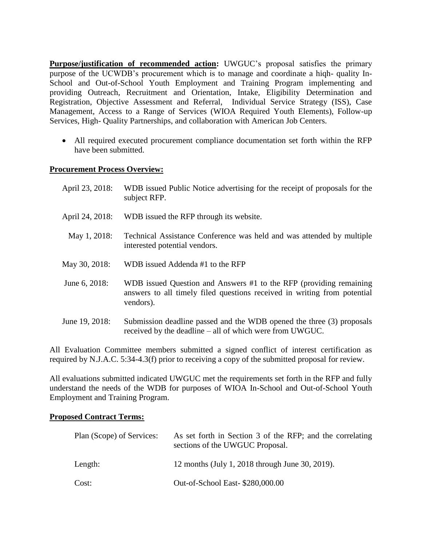**Purpose/justification of recommended action:** UWGUC's proposal satisfies the primary purpose of the UCWDB's procurement which is to manage and coordinate a hiqh- quality In-School and Out-of-School Youth Employment and Training Program implementing and providing Outreach, Recruitment and Orientation, Intake, Eligibility Determination and Registration, Objective Assessment and Referral, Individual Service Strategy (ISS), Case Management, Access to a Range of Services (WIOA Required Youth Elements), Follow-up Services, High- Quality Partnerships, and collaboration with American Job Centers.

 All required executed procurement compliance documentation set forth within the RFP have been submitted.

### **Procurement Process Overview:**

| April 23, 2018: | WDB issued Public Notice advertising for the receipt of proposals for the<br>subject RFP.                                                                   |
|-----------------|-------------------------------------------------------------------------------------------------------------------------------------------------------------|
| April 24, 2018: | WDB issued the RFP through its website.                                                                                                                     |
| May 1, 2018:    | Technical Assistance Conference was held and was attended by multiple<br>interested potential vendors.                                                      |
| May 30, 2018:   | WDB issued Addenda #1 to the RFP                                                                                                                            |
| June 6, 2018:   | WDB issued Question and Answers #1 to the RFP (providing remaining<br>answers to all timely filed questions received in writing from potential<br>vendors). |
| June 19, 2018:  | Submission deadline passed and the WDB opened the three (3) proposals<br>received by the deadline – all of which were from UWGUC.                           |

All Evaluation Committee members submitted a signed conflict of interest certification as required by N.J.A.C. 5:34-4.3(f) prior to receiving a copy of the submitted proposal for review.

All evaluations submitted indicated UWGUC met the requirements set forth in the RFP and fully understand the needs of the WDB for purposes of WIOA In-School and Out-of-School Youth Employment and Training Program.

#### **Proposed Contract Terms:**

| Plan (Scope) of Services: | As set forth in Section 3 of the RFP; and the correlating<br>sections of the UWGUC Proposal. |
|---------------------------|----------------------------------------------------------------------------------------------|
| Length:                   | 12 months (July 1, 2018 through June 30, 2019).                                              |
| Cost:                     | Out-of-School East- \$280,000.00                                                             |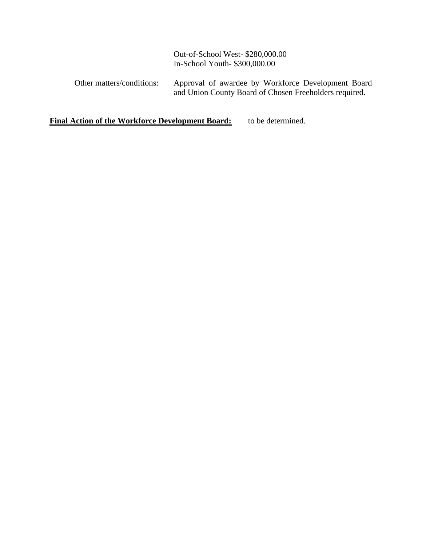Out-of-School West- \$280,000.00 In-School Youth- \$300,000.00

Other matters/conditions: Approval of awardee by Workforce Development Board and Union County Board of Chosen Freeholders required.

**Final Action of the Workforce Development Board:** to be determined.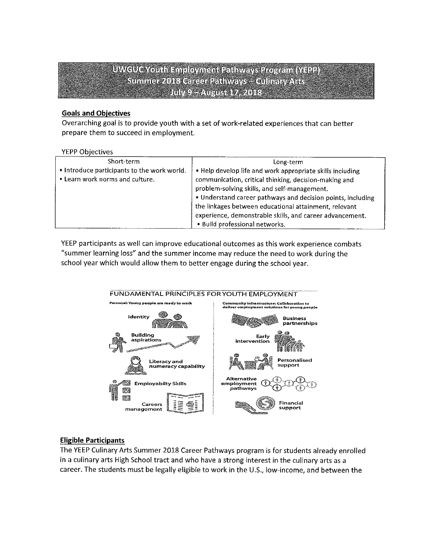## UWGUC Youth Employment Pathways Program (YEP) Summer 2018 Career Pathways - Gulmay Arts **INVEL-AUGUST7, 2018**

### **Goals and Objectives**

Overarching goal is to provide youth with a set of work-related experiences that can better prepare them to succeed in employment.

#### **YEPP Objectives**

| Short-term                                                                     | Long-term                                                                                                                                                                                                                                                                                                                                                                                |
|--------------------------------------------------------------------------------|------------------------------------------------------------------------------------------------------------------------------------------------------------------------------------------------------------------------------------------------------------------------------------------------------------------------------------------------------------------------------------------|
| . Introduce participants to the work world.<br>. Learn work norms and culture. | • Help develop life and work appropriate skills including<br>communication, critical thinking, decision-making and<br>problem-solving skills, and self-management.<br>. Understand career pathways and decision points, including<br>the linkages between educational attainment, relevant<br>experience, demonstrable skills, and career advancement.<br>· Build professional networks. |

YEEP participants as well can improve educational outcomes as this work experience combats "summer learning loss" and the summer income may reduce the need to work during the school year which would allow them to better engage during the school year.



### **Eligible Participants**

The YEEP Culinary Arts Summer 2018 Career Pathways program is for students already enrolled in a culinary arts High School tract and who have a strong interest in the culinary arts as a career. The students must be legally eligible to work in the U.S., low-income, and between the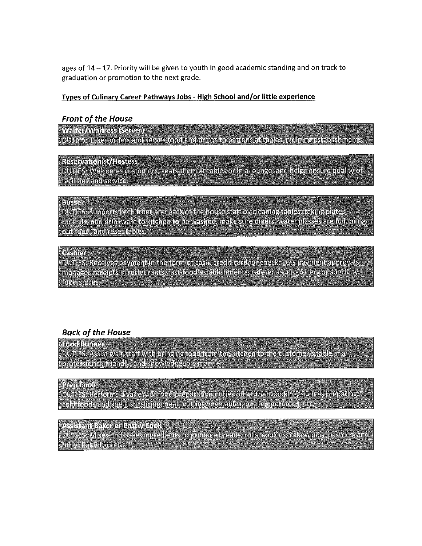ages of 14 - 17. Priority will be given to youth in good academic standing and on track to graduation or promotion to the next grade.

#### Types of Culinary Career Pathways Jobs - High School and/or little experience

#### **Front of the House**

Welter/Weltters Server) DUTIES. Takes orders and serves food and drinks to patrons at tables in dining establishments.

#### Reservations / Hostess

DUTIES: Welcomes customers, seats them at tables or in a lounge, and helps ensure quality of **indifficerational designation** 

### Bussel

DUTIES, Supports both front and back of the house staff by cleaning tables, taking plates, utensils, and drinkware to kitchen to be washed, make sure diners' water glasses are full, bring out food, and reset tables.

#### เคล็กล่า

DUTIES: Receives payment in the form of cash, credit card, or check; gets payment approvals, manages recepts in restaurants, fast food establishments, calcidatas, or grocery or specially foot stoles.

### **Back of the House**

#### **Read Runners**

DUTIES Assist wait staff with bringing food from the kitchen to the customer's table in a professional, friendly, and knowledgeable manner

### Presidents

DUTIES: Reiforms a variety of food preparation duties other than cooking, such as preparing cold foods and shellfish, sliding meat, cutting vegetables, peeling potatoes, etc.

#### Assistant Baker of Pasify Cook

DUTIES: Mixes and bakes ingredients to produce breads, rolls, cookies, cakes, pies, pastries, and ollael baked goods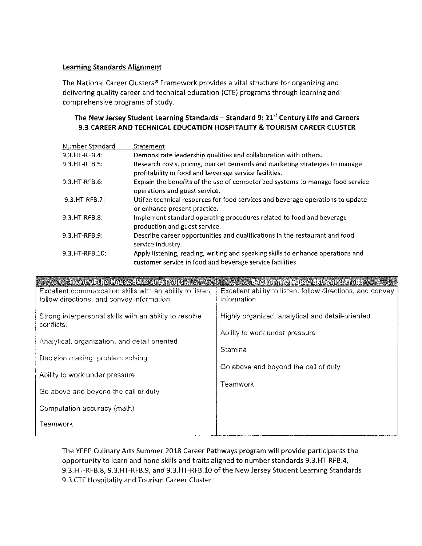### **Learning Standards Alignment**

The National Career Clusters® Framework provides a vital structure for organizing and delivering quality career and technical education (CTE) programs through learning and comprehensive programs of study.

### The New Jersey Student Learning Standards - Standard 9: 21<sup>st</sup> Century Life and Careers 9.3 CAREER AND TECHNICAL EDUCATION HOSPITALITY & TOURISM CAREER CLUSTER

| Number Standard  | Statement                                                                                                                                    |
|------------------|----------------------------------------------------------------------------------------------------------------------------------------------|
| $9.3.HT-RFB.4:$  | Demonstrate leadership qualities and collaboration with others.                                                                              |
| 9.3.HT-RFB.5:    | Research costs, pricing, market demands and marketing strategies to manage<br>profitability in food and beverage service facilities.         |
| 9.3.HT-RFB.6:    | Explain the benefits of the use of computerized systems to manage food service<br>operations and guest service.                              |
| 9.3.HT-RFB.7:    | Utilize technical resources for food services and beverage operations to update<br>or enhance present practice.                              |
| 9.3.HT-RFB.8:    | Implement standard operating procedures related to food and beverage<br>production and guest service.                                        |
| $9.3.HT-RFB.9:$  | Describe career opportunities and qualifications in the restaurant and food<br>service industry.                                             |
| 9.3. HT-RFB. 10: | Apply listening, reading, writing and speaking skills to enhance operations and<br>customer service in food and beverage service facilities. |

| From to the House Skills the Brits                        | Baden the Rouse Skills and trails                          |
|-----------------------------------------------------------|------------------------------------------------------------|
| Excellent communication skills with an ability to listen, | Excellent ability to listen, follow directions, and convey |
| follow directions, and convey information                 | information                                                |
| Strong interpersonal skills with an ability to resolve    | Highly organized, analytical and detail-oriented           |
| conflicts.                                                |                                                            |
|                                                           | Ability to work under pressure                             |
| Analytical, organization, and detail oriented             |                                                            |
| Decision making, problem solving                          | Stamina                                                    |
|                                                           | Go above and beyond the call of duty                       |
| Ability to work under pressure                            |                                                            |
|                                                           | Teamwork                                                   |
| Go above and beyond the call of duty                      |                                                            |
| Computation accuracy (math)                               |                                                            |
|                                                           |                                                            |
| Teamwork                                                  |                                                            |
|                                                           |                                                            |

The YEEP Culinary Arts Summer 2018 Career Pathways program will provide participants the opportunity to learn and hone skills and traits aligned to number standards 9.3.HT-RFB.4, 9.3.HT-RFB.8, 9.3.HT-RFB.9, and 9.3.HT-RFB.10 of the New Jersey Student Learning Standards 9.3 CTE Hospitality and Tourism Career Cluster